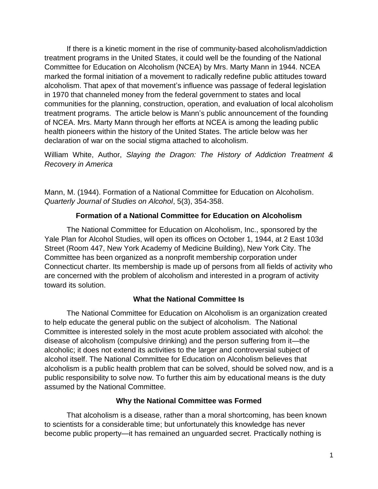If there is a kinetic moment in the rise of community-based alcoholism/addiction treatment programs in the United States, it could well be the founding of the National Committee for Education on Alcoholism (NCEA) by Mrs. Marty Mann in 1944. NCEA marked the formal initiation of a movement to radically redefine public attitudes toward alcoholism. That apex of that movement's influence was passage of federal legislation in 1970 that channeled money from the federal government to states and local communities for the planning, construction, operation, and evaluation of local alcoholism treatment programs. The article below is Mann's public announcement of the founding of NCEA. Mrs. Marty Mann through her efforts at NCEA is among the leading public health pioneers within the history of the United States. The article below was her declaration of war on the social stigma attached to alcoholism.

William White, Author, *Slaying the Dragon: The History of Addiction Treatment & Recovery in America*

Mann, M. (1944). Formation of a National Committee for Education on Alcoholism. *Quarterly Journal of Studies on Alcohol*, 5(3), 354-358.

# **Formation of a National Committee for Education on Alcoholism**

The National Committee for Education on Alcoholism, Inc., sponsored by the Yale Plan for Alcohol Studies, will open its offices on October 1, 1944, at 2 East 103d Street (Room 447, New York Academy of Medicine Building), New York City. The Committee has been organized as a nonprofit membership corporation under Connecticut charter. Its membership is made up of persons from all fields of activity who are concerned with the problem of alcoholism and interested in a program of activity toward its solution.

# **What the National Committee Is**

The National Committee for Education on Alcoholism is an organization created to help educate the general public on the subject of alcoholism. The National Committee is interested solely in the most acute problem associated with alcohol: the disease of alcoholism (compulsive drinking) and the person suffering from it—the alcoholic; it does not extend its activities to the larger and controversial subject of alcohol itself. The National Committee for Education on Alcoholism believes that alcoholism is a public health problem that can be solved, should be solved now, and is a public responsibility to solve now. To further this aim by educational means is the duty assumed by the National Committee.

# **Why the National Committee was Formed**

That alcoholism is a disease, rather than a moral shortcoming, has been known to scientists for a considerable time; but unfortunately this knowledge has never become public property—it has remained an unguarded secret. Practically nothing is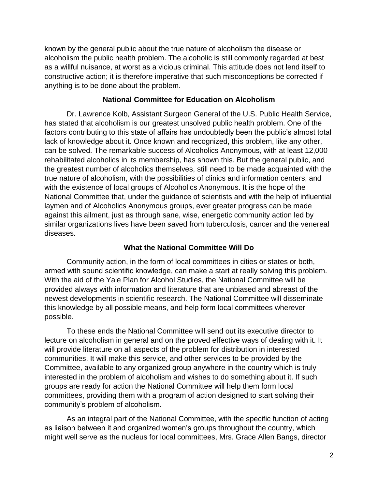known by the general public about the true nature of alcoholism the disease or alcoholism the public health problem. The alcoholic is still commonly regarded at best as a willful nuisance, at worst as a vicious criminal. This attitude does not lend itself to constructive action; it is therefore imperative that such misconceptions be corrected if anything is to be done about the problem.

### **National Committee for Education on Alcoholism**

Dr. Lawrence Kolb, Assistant Surgeon General of the U.S. Public Health Service, has stated that alcoholism is our greatest unsolved public health problem. One of the factors contributing to this state of affairs has undoubtedly been the public's almost total lack of knowledge about it. Once known and recognized, this problem, like any other, can be solved. The remarkable success of Alcoholics Anonymous, with at least 12,000 rehabilitated alcoholics in its membership, has shown this. But the general public, and the greatest number of alcoholics themselves, still need to be made acquainted with the true nature of alcoholism, with the possibilities of clinics and information centers, and with the existence of local groups of Alcoholics Anonymous. It is the hope of the National Committee that, under the guidance of scientists and with the help of influential laymen and of Alcoholics Anonymous groups, ever greater progress can be made against this ailment, just as through sane, wise, energetic community action led by similar organizations lives have been saved from tuberculosis, cancer and the venereal diseases.

#### **What the National Committee Will Do**

Community action, in the form of local committees in cities or states or both, armed with sound scientific knowledge, can make a start at really solving this problem. With the aid of the Yale Plan for Alcohol Studies, the National Committee will be provided always with information and literature that are unbiased and abreast of the newest developments in scientific research. The National Committee will disseminate this knowledge by all possible means, and help form local committees wherever possible.

To these ends the National Committee will send out its executive director to lecture on alcoholism in general and on the proved effective ways of dealing with it. It will provide literature on all aspects of the problem for distribution in interested communities. It will make this service, and other services to be provided by the Committee, available to any organized group anywhere in the country which is truly interested in the problem of alcoholism and wishes to do something about it. If such groups are ready for action the National Committee will help them form local committees, providing them with a program of action designed to start solving their community's problem of alcoholism.

As an integral part of the National Committee, with the specific function of acting as liaison between it and organized women's groups throughout the country, which might well serve as the nucleus for local committees, Mrs. Grace Allen Bangs, director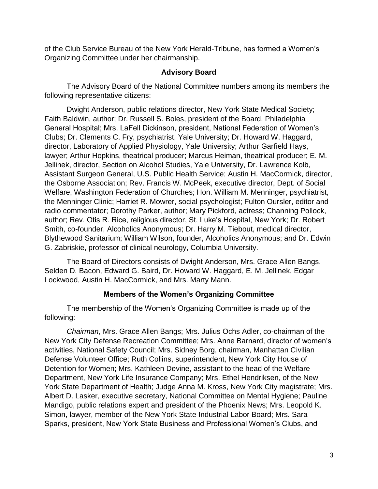of the Club Service Bureau of the New York Herald-Tribune, has formed a Women's Organizing Committee under her chairmanship.

### **Advisory Board**

The Advisory Board of the National Committee numbers among its members the following representative citizens:

Dwight Anderson, public relations director, New York State Medical Society; Faith Baldwin, author; Dr. Russell S. Boles, president of the Board, Philadelphia General Hospital; Mrs. LaFell Dickinson, president, National Federation of Women's Clubs; Dr. Clements C. Fry, psychiatrist, Yale University; Dr. Howard W. Haggard, director, Laboratory of Applied Physiology, Yale University; Arthur Garfield Hays, lawyer; Arthur Hopkins, theatrical producer; Marcus Heiman, theatrical producer; E. M. Jellinek, director, Section on Alcohol Studies, Yale University, Dr. Lawrence Kolb, Assistant Surgeon General, U.S. Public Health Service; Austin H. MacCormick, director, the Osborne Association; Rev. Francis W. McPeek, executive director, Dept. of Social Welfare, Washington Federation of Churches; Hon. William M. Menninger, psychiatrist, the Menninger Clinic; Harriet R. Mowrer, social psychologist; Fulton Oursler, editor and radio commentator; Dorothy Parker, author; Mary Pickford, actress; Channing Pollock, author; Rev. Otis R. Rice, religious director, St. Luke's Hospital, New York; Dr. Robert Smith, co-founder, Alcoholics Anonymous; Dr. Harry M. Tiebout, medical director, Blythewood Sanitarium; William Wilson, founder, Alcoholics Anonymous; and Dr. Edwin G. Zabriskie, professor of clinical neurology, Columbia University.

The Board of Directors consists of Dwight Anderson, Mrs. Grace Allen Bangs, Selden D. Bacon, Edward G. Baird, Dr. Howard W. Haggard, E. M. Jellinek, Edgar Lockwood, Austin H. MacCormick, and Mrs. Marty Mann.

### **Members of the Women's Organizing Committee**

The membership of the Women's Organizing Committee is made up of the following:

*Chairman*, Mrs. Grace Allen Bangs; Mrs. Julius Ochs Adler, co-chairman of the New York City Defense Recreation Committee; Mrs. Anne Barnard, director of women's activities, National Safety Council; Mrs. Sidney Borg, chairman, Manhattan Civilian Defense Volunteer Office; Ruth Collins, superintendent, New York City House of Detention for Women; Mrs. Kathleen Devine, assistant to the head of the Welfare Department, New York Life Insurance Company; Mrs. Ethel Hendriksen, of the New York State Department of Health; Judge Anna M. Kross, New York City magistrate; Mrs. Albert D. Lasker, executive secretary, National Committee on Mental Hygiene; Pauline Mandigo, public relations expert and president of the Phoenix News; Mrs. Leopold K. Simon, lawyer, member of the New York State Industrial Labor Board; Mrs. Sara Sparks, president, New York State Business and Professional Women's Clubs, and